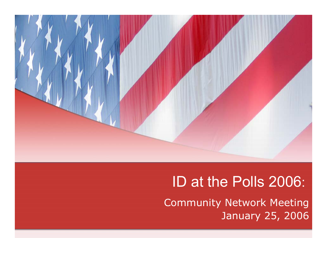

# ID at the Polls 2006:

Community Network Meeting January 25, 2006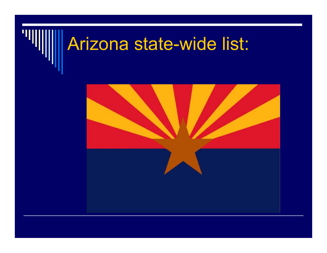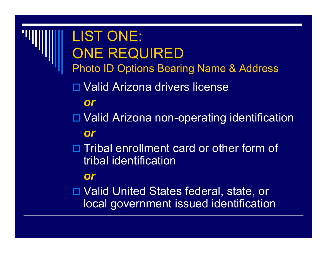LIST ONE: ONE REQUIRED Photo ID Options Bearing Name & Address □ Valid Arizona drivers license *or*□ Valid Arizona non-operating identification *or* $\Box$  Tribal enrollment card or other form of tribal identification*or* Valid United States federal, state, or local government issued identification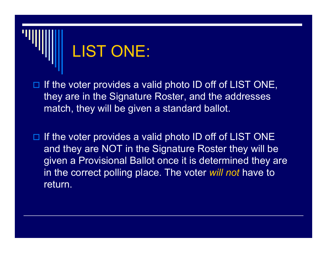

- $\Box$  If the voter provides a valid photo ID off of LIST ONE, they are in the Signature Roster, and the addresses match, they will be given a standard ballot.
- $\Box$  If the voter provides a valid photo ID off of LIST ONE and they are NOT in the Signature Roster they will be given a Provisional Ballot once it is determined they are in the correct polling place. The voter *will not* have to return.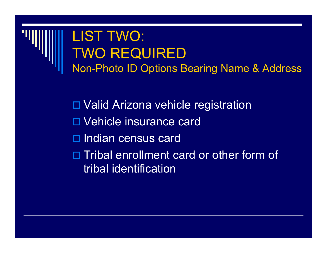### LIST TWO: TWO REQUIRED Non-Photo ID Options Bearing Name & Address

□ Valid Arizona vehicle registration Vehicle insurance card □ Indian census card □ Tribal enrollment card or other form of tribal identification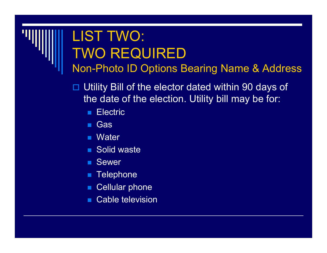### LIST TWO: TWO REQUIRED Non-Photo ID Options Bearing Name & Address

 $\blacksquare$  Utility Bill of the elector dated within 90 days of the date of the election. Utility bill may be for:

- ш **Electric**
- $\mathbb{R}^2$ **Gas**
- Water
- Solid waste
- Sewer
- **Telephone**
- Cellular phone
- $\mathbb{R}^2$ Cable television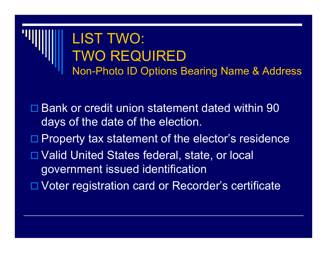

□ Bank or credit union statement dated within 90 days of the date of the election.

- □ Property tax statement of the elector's residence
- □ Valid United States federal, state, or local government issued identification
- □ Voter registration card or Recorder's certificate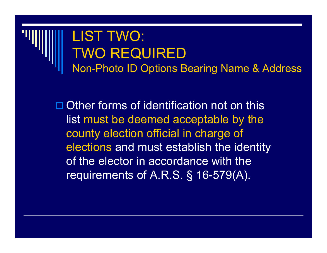### LIST TWO: TWO REQUIRED Non-Photo ID Options Bearing Name & Address

**□ Other forms of identification not on this** list must be deemed acceptable by the county election official in charge of elections and must establish the identity of the elector in accordance with the requirements of A.R.S. § 16-579(A).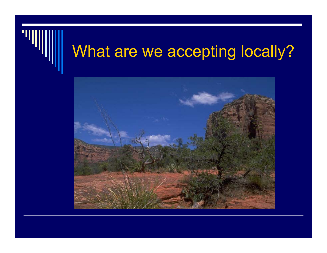# What are we accepting locally?

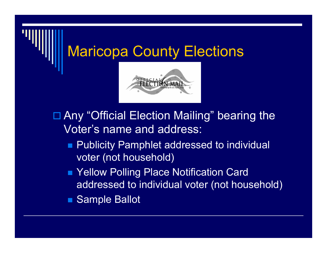

- □ Any "Official Election Mailing" bearing the Voter's name and address:
	- Publicity Pamphlet addressed to individual voter (not household)
	- Yellow Polling Place Notification Card addressed to individual voter (not household)
	- Sample Ballot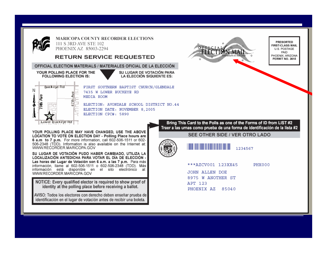

**MARICOPA COUNTY RECORDER ELECTIONS** 111 S 3RD AVE STE 102 PHOENIX AZ 85003-2294

### **RETURN SERVICE REQUESTED**

OFFICIAL ELECTION MATERIALS / MATERIALES OFICIAL DE LA ELECCIÓN

### YOUR POLLING PLACE FOR THE **FOLLOWING ELECTION IS:**

Buckeve Rd N ã 5th Ave ł Lower Buckeye Rd FIRST SOUTHERN BAPTIST CHURCH/GLENDALE 7435 W LOWER BUCKEYE RD MEDIA ROOM ELECTION: AVONDALE SCHOOL DISTRICT NO.44

SU LUGAR DE VOTACIÓN PARA

LA ELECCIÓN SIGUIENTE ES:

ELECTION DATE: NOVEMBER 8,2005

ELECTION CPC#: 5890

YOUR POLLING PLACE MAY HAVE CHANGED. USE THE ABOVE LOCATION TO VOTE ON ELECTION DAY - Polling Place hours are 6 a.m to 7 p.m. For more information, call 602-506-1511 or 602-506-2348 (TDD). Information is also available on the Internet at: WWW.RECORDER.MARICOPA.GOV

SU LUGAR DE VOTACIÓN PUDO HABER CAMBIADO, UTILIZA LA LOCALIZACIÓN ANTEDICHA PARA VOTAR EL DÍA DE ELECCIÓN -Las horas del Lugar de Votación son 6 a.m. a las 7 p.m. Para más información. Ilame al 602-506-1511 o 602-506-2348 (TDD). Más información está disponible en el sito electrónico al: WWW.RECORDER.MARICOPA.GOV

NOTICE: Every qualified elector is required to show proof of identity at the polling place before receiving a ballot.

AVISO: Todos los electores con derecho deben enseñar prueba de identificación en el lugar de votación antes de recibir una boleta.



**PRESORTED FIRST-CLASS MAIL** U.S. POSTAGE PAID PHOENIX, ARIZONA PERMIT NO. 3615

Bring This Card to the Polls as one of the Forms of ID from LIST #2 Traer a las urnas como prueba de una forma de identificación de la lista #2

SEE OTHER SIDE / VER OTRO LADO



<u> Timba ka matsayin ka matsayin ka matsayin ka matsayin ka matsayin ka matsayin ka matsayin ka matsayin ka matsayin ka matsayin ka matsayin ka matsayin ka matsayin ka matsayin ka matsayin ka matsayin ka matsayin ka matsayi</u> 1234567

\*\*\*AZCV001 123XX45 PHX000

JOHN ALLEN DOE 8975 W ANOTHER ST APT 123 PHOENIX AZ 85040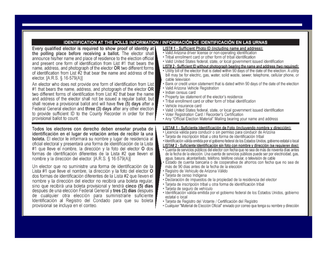|                                                                                                                                                                                                                                                                                                                                                                                                                                                                                                                                                                                                                                                                                                                                                                                                                                                                                                                                                                                                                           | IDENTIFICATION AT THE POLLS INFORMATION / INFORMACIÓN DE IDENTIFICACIÓN EN LAS URNAS                                                                                                                                                                                                                                                                                                                                                                                                                                                                                                                                                                                                                                                                                                                                                                                                                                                                                                                                                                                                                                                         |
|---------------------------------------------------------------------------------------------------------------------------------------------------------------------------------------------------------------------------------------------------------------------------------------------------------------------------------------------------------------------------------------------------------------------------------------------------------------------------------------------------------------------------------------------------------------------------------------------------------------------------------------------------------------------------------------------------------------------------------------------------------------------------------------------------------------------------------------------------------------------------------------------------------------------------------------------------------------------------------------------------------------------------|----------------------------------------------------------------------------------------------------------------------------------------------------------------------------------------------------------------------------------------------------------------------------------------------------------------------------------------------------------------------------------------------------------------------------------------------------------------------------------------------------------------------------------------------------------------------------------------------------------------------------------------------------------------------------------------------------------------------------------------------------------------------------------------------------------------------------------------------------------------------------------------------------------------------------------------------------------------------------------------------------------------------------------------------------------------------------------------------------------------------------------------------|
| Every qualified elector is required to show proof of identity at<br>the polling place before receiving a ballot. The elector shall<br>announce his/her name and place of residence to the election official<br>and present one form of identification from List #1 that bears the<br>name, address, and photograph of the elector OR two different forms<br>of identification from List #2 that bear the name and address of the<br>elector. [A.R.S. § 16-579(A)]<br>An elector who does not provide one form of identification from List<br>#1 that bears the name, address, and photograph of the elector $OR$<br>two different forms of identification from List #2 that bear the name<br>and address of the elector shall not be issued a regular ballot, but<br>shall receive a provisional ballot and will have five (5) days after a<br>Federal General election and three (3) days after any other election<br>to provide sufficient ID to the County Recorder in order for their<br>provisional ballot to count. | LIST# 1 - Sufficient Photo ID (including name and address):<br>• Valid Arizona driver license or non-operating identification<br>. Tribal enrollment card or other form of tribal identification<br>• Valid United States federal, state, or local government issued identification<br>LIST# 2 - Sufficient ID without photograph bearing the name and address (two required):<br>. Utility bill of the elector that is dated within 90 days of the date of the election. A utility<br>bill may be for electric, gas, water, solid waste, sewer, telephone, cellular phone, or<br>cable television<br>. Bank or credit union statement that is dated within 90 days of the date of the election<br>· Valid Arizona Vehicle Registration<br>· Indian census card<br>. Property tax statement of the elector's residence<br>. Tribal enrollment card or other form of tribal identification<br>• Vehicle insurance card<br>• Valid United States federal, state, or local government issued identification<br>• Voter Registration Card / Recorder's Certification<br>. Any "Official Election Material" Mailing bearing your name and address |
| Todos los electores con derecho deben enseñar prueba de<br>identificación en el lugar de votación antes de recibir la una<br>boleta. El elector le informará su nombre y lugar de residencia al<br>oficial electoral y presentará una forma de identificación de la Lista<br>#1 que lleve el nombre, la dirección y la foto del elector O dos<br>formas de identificación diferentes de la Lista #2 que lleven el<br>nombre y la dirección del elector. [A.R.S. § 16-579(A)]                                                                                                                                                                                                                                                                                                                                                                                                                                                                                                                                              | LISTA# 1 - Suficiente Identificación de Foto (incluvendo nombre y dirección):<br>· Licencia válida para conducir o sin permiso para conducir de Arizona<br>· Tarjeta de inscripción tribal u otra forma de identificación tribal<br>· Identificación válida emitida por el gobierno federal de los Estados Unidos, gobierno estatal o local<br>LISTA# 2 - Suficiente Identificación sin foto con nombre y dirección (se requieren dos):<br>· Cuenta de servicios públicos del elector con fecha que no sea de más de noventa días antes<br>de la fecha de la elección. Una cuenta de servicios públicos puede ser por electricidad, gas,<br>agua, basura, alcantarillado, teléfono, teléfono celular, o televisión de cable<br>· Estado de cuenta bancaria o de cooperativa de ahorros con fecha que no sea de                                                                                                                                                                                                                                                                                                                               |
| Un elector que no suministre una forma de identificación de la<br>Lista #1 que lleve el nombre, la dirección y la foto del elector O<br>dos formas de identificación diferentes de la Lista #2 que lleven el<br>nombre y la dirección del elector no recibirá una boleta regular,<br>sino que recibirá una boleta provisional y tendrá cinco (5) días<br>después de una elección Federal General y tres (3) días después<br>de cualquier otra elección para suministrarle suficiente<br>Identificación al Registro del Condado para que su boleta<br>provisional se incluya en el conteo.                                                                                                                                                                                                                                                                                                                                                                                                                                 | más de 90 días antes de la fecha de la elección<br>• Registro de Vehículo de Arizona Válido<br>· Tarjeta de censo Indígena<br>· Declaración de impuestos de la propiedad de la residencia del elector<br>· Tarjeta de inscripción tribal u otra forma de identificación tribal<br>· Tarjeta de seguro de vehículo<br>· Identificación válida emitida por el gobierno federal de los Estados Unidos, gobierno<br>estatal o local<br>· Tarjeta de Registro del Votante / Certificación del Registro<br>· Cualquier "Material de Elección Oficial" enviado por correo que tenga su nombre y dirección                                                                                                                                                                                                                                                                                                                                                                                                                                                                                                                                           |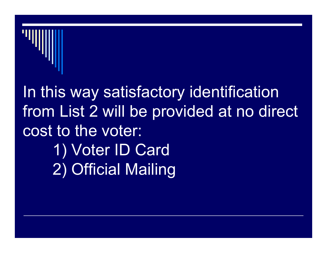

In this way satisfactory identification from List 2 will be provided at no direct cost to the voter: 1) Voter ID Card 2) Official Mailing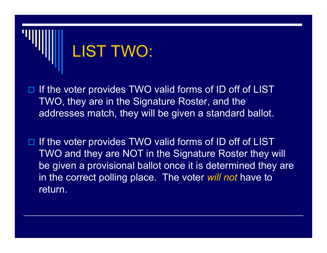

- $\Box$  If the voter provides TWO valid forms of ID off of LIST TWO, they are in the Signature Roster, and the addresses match, they will be given a standard ballot.
- $\Box$  If the voter provides TWO valid forms of ID off of LIST TWO and they are NOT in the Signature Roster they will be given a provisional ballot once it is determined they are in the correct polling place. The voter *will not* have to return.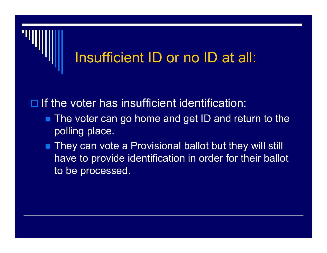

 $\Box$  If the voter has insufficient identification:

- The voter can go home and get ID and return to the polling place.
- They can vote a Provisional ballot but they will still have to provide identification in order for their ballot to be processed.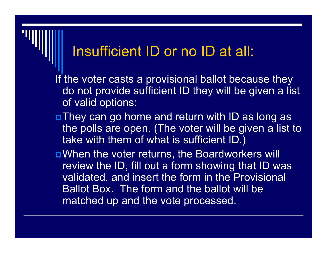### Insufficient ID or no ID at all:

If the voter casts a provisional ballot because they do not provide sufficient ID they will be given a list of valid options:

- They can go home and return with ID as long as the polls are open. (The voter will be given a list to take with them of what is sufficient ID.)
- ■When the voter returns, the Boardworkers will review the ID, fill out a form showing that ID was validated, and insert the form in the Provisional Ballot Box. The form and the ballot will be matched up and the vote processed.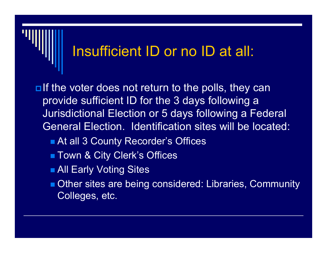### Insufficient ID or no ID at all:

 $\blacksquare$ If the voter does not return to the polls, they can provide sufficient ID for the 3 days following a Jurisdictional Election or 5 days following a Federal General Election. Identification sites will be located:

- At all 3 County Recorder's Offices
- Town & City Clerk's Offices
- **All Early Voting Sites**
- **Other sites are being considered: Libraries, Community** Colleges, etc.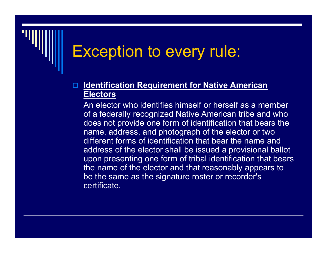## Exception to every rule:

### $\blacksquare$  **Identification Requirement for Native American Electors**

An elector who identifies himself or herself as a member of a federally recognized Native American tribe and who does not provide one form of identification that bears the name, address, and photograph of the elector or two different forms of identification that bear the name and address of the elector shall be issued a provisional ballot upon presenting one form of tribal identification that bears the name of the elector and that reasonably appears to be the same as the signature roster or recorder's certificate.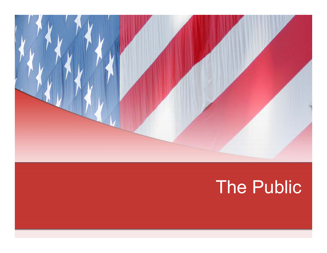

# The Public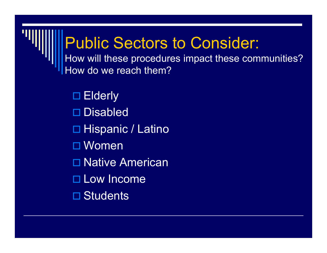## Public Sectors to Consider: How will these procedures impact these communities? How do we reach them?

□ Elderly □ Disabled □ Hispanic / Latino Women □ Native American □ Low Income □ Students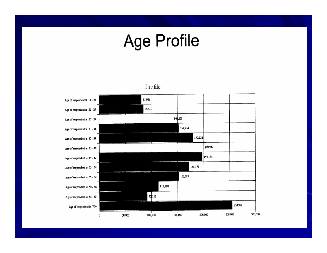# **Age Profile**

81,986 Age of respondent is 18 - 20 as.sıb Age of respondent is 21 - 24 140,228 Age of respondent is 25 - 29 151,934 Age of respondent is 30 - 34 179,323 Age of respondent is 35 - 39 198,949 Age of respondent is 40 - 44 197,183 Age of respondent is 45 - 49 171,575 Age of respondent is 50 - 54 152,187 Age of respondent is 55 - 59 113,318 Age of respondent is 60 - 64 92116 Age of respondent is 65 - 69 254,976 Age of respondent is  $70+$ 100,000 150,000 200,000 250,000 300,000 50,000  $\bf 0$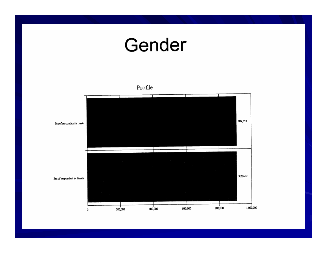# Gender

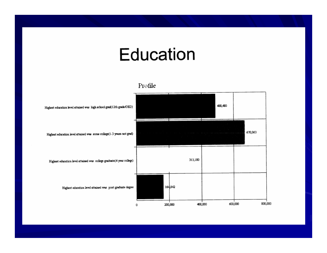## Education

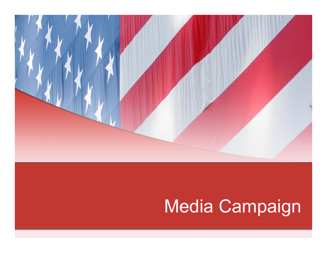

# Media Campaign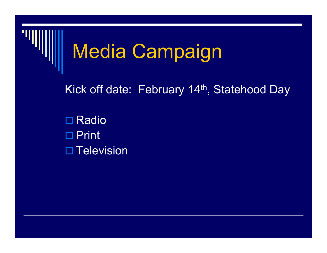

# Media Campaign

Kick off date: February 14<sup>th</sup>, Statehood Day

 $\square$  Radio □ Print □ Television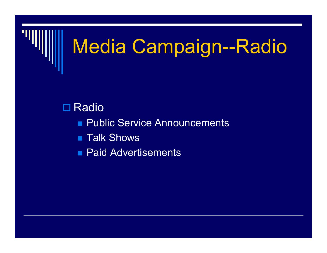

# Media Campaign--Radio

### $\square$  Radio

- Public Service Announcements
- Talk Shows
- **Paid Advertisements**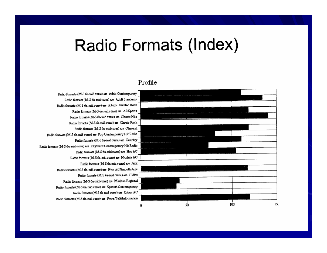## Radio Formats (Index)

### Profile

Radio formats (M-S 6a-mid cume) are Adult Contemporary Radio formats (M-S 6a-mid cume) are Adult Standards Radio formats (M-S 6a-mid cume) are Album Oriented Rock Radio formats (M-S 6a-mid cume) are All Sports Radio formats (M-S 6a-mid cume) are Classic Hits Radio formats (M-S 6a-mid cume) are Classic Rock Radio formats (M-S 6a-mid cume) are Classical Radio formats (M-S 6a-mid cume) are Pop Contemporary Hit Radio Radio formats (M-S 6a-mid cume) are Country Radio formats (M-S 6a-mid cume) are Rhythmic Contemporary Hit Radio Radio formats (M-S 6a-mid cume) are Hot AC Radio formats (M-S 6a-mid cume) are Modern AC Radio formats (M-S 6a-mid cume) are Jazz Radio formats (M-S 6a-mid cume) are New AC/Smooth Jezz Radio formats (M-S 6a-mid cume) are Oldies Radio formats (M-S 6a-mid cume) are Mexican Regional Radio formats (M-S 6a-mid cume) are Spanish Contemporary Radio formats (M-S 6a-mid cume) are Urban AC Radio formats (M-S 6a-mid cume) are News/Talk/Information

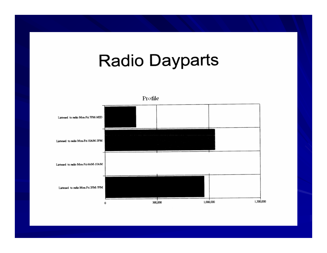## **Radio Dayparts**

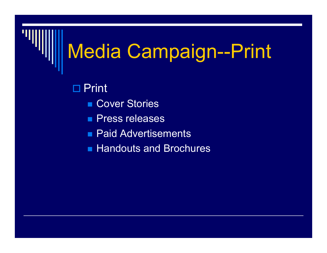# Media Campaign--Print

□ Print

- **Cover Stories**
- **Press releases**
- **Paid Advertisements**
- **Handouts and Brochures**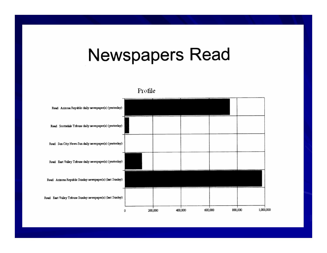## **Newspapers Read**

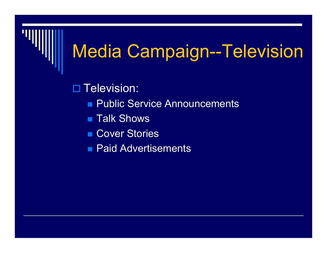# Media Campaign--Television

□ Television:

- **Public Service Announcements**
- Talk Shows
- **Cover Stories**
- **Paid Advertisements**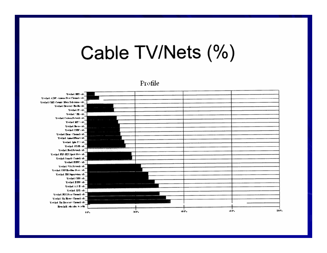# Cable TV/Nets (%)

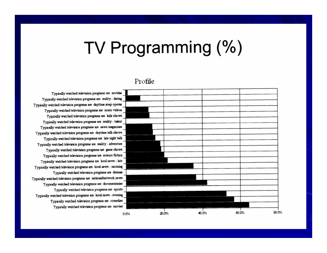# TV Programming (%)

### Profile

Typically watched television programs are novelas Typically watched television programs are reality - dating Typically watched television programs are daytime soap operas Typically watched television programs are music videos Typically watched television programs are kids shows Typically watched television programs are reality - talent Typically watched television programs are news magazines Typically watched television programs are daytime talk shows Typically watched television programs are late night talk Typically watched television programs are reality - adventure Typically watched television programs are game shows Typically watched television programs are science fiction Typically watched television programs are local news - late Typically watched television programs are local news - morning Typically watched television programs are dramas Typically watched television programs are national/network news Typically watched television programs are documentaries Typically watched television programs are sports Typically watched television programs are local news - evening Typically watched television programs are comedies Typically watched television programs are movies

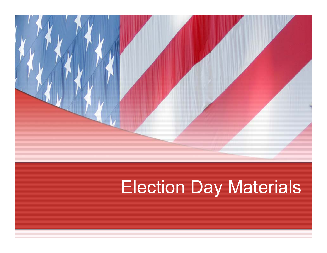

# Election Day Materials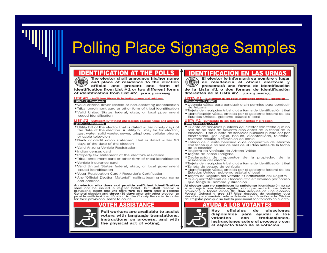## **Polling Place Signage Samples**

The elector shall announce his/her name 要 and place of residence to the election official and present one form of identification from List  $#1$  or two different forms of identification from List #2. [A.R.S. § 16-579(A)]

### LIST #1 - Sufficient Photo ID including name and address (ONE (1) Required)

- . Valid Arizona driver license or non-operating identification
- . Tribal enrollment card or other form of tribal identification
- .Valid United States federal, state, or local government issued identification

### LIST #2 - Sufficient ID without photograph bearing name and address (TWO (2) Required)

- . Utility bill of the elector that is dated within ninety days of the date of the election. A utility bill may be for electric. gas, water, solid waste, sewer, telephone, cellular phone. or cable television
- . Bank or credit union statement that is dated within 90 days of the date of the election
- · Valid Arizona Vehicle Registration
- · Indian census card
- . Property tax statement of the elector's residence
- . Tribal enrollment card or other form of tribal identification
- \*Vehicle insurance card
- .Valid United States federal, state, or local government issued identification
- . Voter Registration Card / Recorder's Certification
- \* Any "Official Election Material" mailing bearing your name and address

An elector who does not provide sufficient identification shall not be issued a regular ballot, but shall receive a provisional ballot and will have five (5) days after a Federal General election and three (3) days after any other election to provide sufficient identification to the County Recorder in order for their provisional ballot to count.

### ER ASS



Poll workers are available to assist voters with language translations. instructions on process, and with the physical act of voting.

El elector le informará su nombre y lugar (関す) de residencia al oficial electoral y presentará una forma de identificación de la Lista #1 o dos formas de identificación diferentes de la Lista  $#2.$  [A.R.S. § 16-579(A)]

### Suficiente ID de Foto incluvendo nombre y dirección (Requieren (1) UNO)

- · Licencia válida para conducir o sin permiso para conducir de Arizona
- \*Tarjeta de inscripción tribal u otra forma de identificación tribal
- · Identificación válida emitida por el gobierno federal de los Estados Unidos, gobierno estatal o local

### LISTA #2 - Suficiente ID sin foto con nombre y dirección (Requieren (2) DOS)

- \* Cuenta de servicios públicos del elector con fecha que no sea de no más de noventa días antes de la fecha de la elección. Una cuenta de servicios públicos puede ser por electricidad, gas, agua, basura, alcantarillado, teléfono, teléfono celular, o televisión de cable
- \* Estado de cuenta bancaria o de cooperativa de ahorros con fecha que no sea de más de 90 días antes de la fecha de la elección
- · Registro de Vehículo de Arizona Válido
- · Tarieta de censo Indígena
- \*Declaración de impuestos de la propiedad de la residencia del elector
- \*Tarjeta de inscripción tribal u otra forma de identificación tribal
- · Tarjeta de seguro de vehículo
- · Identificación válida emitida por el gobierno federal de los Estados Unidos, gobierno estatal o local
- · Tarieta de Registro del Votante / Certificación del Registro
- \* Cualquier "Material de Elección Oficial" enviado por correo que tenga su nombre y dirección

Al elector que no suministre la suficiente identificación no se le entregará una boleta regular, sino que recibirá una boleta provisional y tendrá cinco (5) días después de una elección Federal General y tres (3) días después de cualquier otra elección para suministrarle suficiente identificación a la Oficina del Registro para que su boleta provisional sea tomada en cuenta.

Hav oficiales de elecciones disponibles para avudar a los votantes traducciones. con instrucciones sobre el proceso y con el aspecto físico de la votación.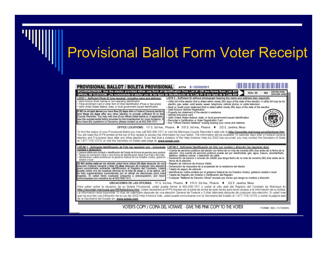### Provisional Ballot Form Voter Receipt

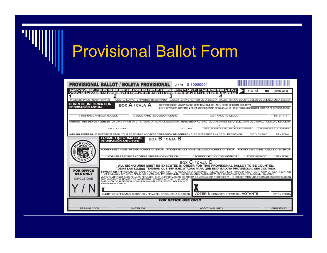

# Provisional Ballot Form

| PROVISIONAL BALLOT / BOLETA PROVISIONAL                                                                                                                                                                                                                                                                                                                                                                                                                      |                                                                                                                                                       |                                                                                                                                                                                                                                      |  | AFF#       | 8-10000001             |                                                                                                                                                                                                        |               |    |                      |
|--------------------------------------------------------------------------------------------------------------------------------------------------------------------------------------------------------------------------------------------------------------------------------------------------------------------------------------------------------------------------------------------------------------------------------------------------------------|-------------------------------------------------------------------------------------------------------------------------------------------------------|--------------------------------------------------------------------------------------------------------------------------------------------------------------------------------------------------------------------------------------|--|------------|------------------------|--------------------------------------------------------------------------------------------------------------------------------------------------------------------------------------------------------|---------------|----|----------------------|
| OFICIAL DE ELECCION: ¿Ha suministrado el elector uno de los tipos de identificación de la Lista #1 o dos tipos de la Lista #2?                                                                                                                                                                                                                                                                                                                               | BOARDWORKER: Has the elector provided either one form of identification from List #1 or two forms from List #2?                                       |                                                                                                                                                                                                                                      |  |            |                        |                                                                                                                                                                                                        | YES / SÍ      | NO | (circle one)         |
| PRECINCT-PPNO / RECINTO-PPNO                                                                                                                                                                                                                                                                                                                                                                                                                                 |                                                                                                                                                       | REGISTERED PARTY / PARTIDO REGISTRADO                                                                                                                                                                                                |  |            |                        | BALLOT PARTY / PARTIDO DE LA BOLETA BALLOT STRIPE COLOR / COLOR DE LA LINEA EN LA BOLETA                                                                                                               |               |    |                      |
| <b>CURRENT INFORMATION</b><br><b>INFORMACIÓN ACTUAL:</b>                                                                                                                                                                                                                                                                                                                                                                                                     |                                                                                                                                                       | BOX $A / CA$ JA $A$                                                                                                                                                                                                                  |  |            |                        | DRIVER LICENSE#, NONOPERATING IDENTIFICATION#, OR LAST 4 DIGITS OF SOCIAL SECURITY#<br># DE LICENCIA DE MANEJAR, # DE IDENTIFICACIÓN NO DE MANEJAR, O LAS ÚLTIMAS 4 CIFRAS DEL NÚMERO DE SEGURO SOCIAL |               |    |                      |
| FIRST NAME / PRIMER NOMBRE                                                                                                                                                                                                                                                                                                                                                                                                                                   |                                                                                                                                                       | MIDDLE NAME / SEGUNDO NOMBRE                                                                                                                                                                                                         |  |            |                        | LAST NAME / APELLIDO                                                                                                                                                                                   |               |    | JR / SR / III        |
|                                                                                                                                                                                                                                                                                                                                                                                                                                                              | CURRENT RESIDENCE ADDRESS - 29 DAYS PRIOR TO CITY, TOWN OR SCHOOL ELECTION / RESIDENCIA ACTUAL - 29 DÍAS ANTES DE LA ELECCIÓN DE CIUDAD.              |                                                                                                                                                                                                                                      |  |            |                        |                                                                                                                                                                                                        |               |    | PUEBLO O ESCOLAR     |
|                                                                                                                                                                                                                                                                                                                                                                                                                                                              | CITY / CIUDAD                                                                                                                                         |                                                                                                                                                                                                                                      |  | ZIP / ZONA |                        | DATE OF BIRTH / FECHA DE NACIMIENTO                                                                                                                                                                    |               |    | TELEPHONE / TELÉFONO |
|                                                                                                                                                                                                                                                                                                                                                                                                                                                              | MAILING ADDRESS - IF DIFFERENT FROM YOUR RESIDENCE ADDRESS / DIRECCIÓN DE CORREO - SI ES DIFERENTE A LA DE SU RESIDENCIA<br><b>FORMER INFORMATION</b> |                                                                                                                                                                                                                                      |  |            |                        |                                                                                                                                                                                                        | CITY / CIUDAD |    | ZIP / ZONA           |
| BOX $B/CA$ JA $B$<br><b>INFORMACIÓN ANTERIOR:</b><br>$\Omega$<br>000<br>FORMER LAST NAME / APELLIDO ANTERIOR<br>FORMER FIRST NAME / PRIMER NOMBRE ANTERIOR<br>FORMER MIDDLE NAME / SEGUNDO NOMBRE ANTERIOR<br>FORMER RESIDENCE ADDRESS / RESIDENCIA ANTERIOR<br>FORMER CITY / CIUDAD ANTERIOR<br>STATE / ESTADO<br>ZIP / ZONA                                                                                                                                |                                                                                                                                                       |                                                                                                                                                                                                                                      |  |            |                        |                                                                                                                                                                                                        |               |    |                      |
| BOX C / CAJA C<br>ALL SIGNATURES MUST BE EXECUTED IN ORDER FOR THIS PROVISIONAL BALLOT TO BE COUNTED.<br>TODAS LAS FIRMAS TENDRÁN QUE SER EJECUTADAS PARA QUE ESTA BALOTA PROVISIONAL SEA CONTADA.<br><b>FOR OFFICE</b><br>I SWEAR OR AFFIRM UNDER PENALTY OF PERJURY, THAT THE ABOVE INFORMATION IS TRUE AND CORRECT. I HAVE PRESENTED A FORM OF IDENTIFICATION<br>THAT INCLUDED MY GIVEN NAME, SURNAME AND MY COMPLETE NEW RESIDENCE ADDRESS WHICH IS LOCA |                                                                                                                                                       |                                                                                                                                                                                                                                      |  |            |                        |                                                                                                                                                                                                        |               |    |                      |
| <b>USE ONLY</b><br><b>CIRCLE ONE</b>                                                                                                                                                                                                                                                                                                                                                                                                                         | ARRIBA MENCIONADO.                                                                                                                                    | JURO O AFIRMO BAJO PENA DE PERJURIO, QUE LA INFORMACIÓN DE ARRIBA ES VERDADERA Y CORRECTA. HE PRESENTADO UNA FORMA DE INDENTIFICACIÓN<br>QUE UNCLUYE MI NOMBRE DE NACIMIENTO, NOMBRE ACTUAL Y MI NUEVA<br>DIRECCIÓN DE RESIDENCIA CO |  |            |                        |                                                                                                                                                                                                        |               |    |                      |
|                                                                                                                                                                                                                                                                                                                                                                                                                                                              |                                                                                                                                                       | ELECTION OFFICIAL'S SIGNATURE / FIRMA DEL OFICIAL DE LA ELECCIÓN                                                                                                                                                                     |  |            |                        | <b>VOTER'S SIGNATURE / FIRMA DEL VOTANTE</b>                                                                                                                                                           |               |    | DATE / FECHA         |
| <b>FOR OFFICE USE ONLY</b>                                                                                                                                                                                                                                                                                                                                                                                                                                   |                                                                                                                                                       |                                                                                                                                                                                                                                      |  |            |                        |                                                                                                                                                                                                        |               |    |                      |
| <b>REASON CODE</b>                                                                                                                                                                                                                                                                                                                                                                                                                                           |                                                                                                                                                       | VOTER ID#                                                                                                                                                                                                                            |  |            | <b>ADDITIONAL INFO</b> |                                                                                                                                                                                                        |               |    | <b>VERIFIED BY</b>   |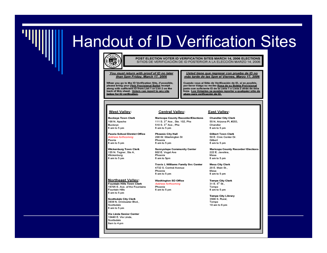## **Handout of ID Verification Sites**



POST ELECTION VOTER ID VERIFICATION SITES MARCH 14, 2006 ELECTIONS SITIOS DE VERIFICACIÓN DE ID POSTERIOR A LA ELECCIÓN MARZO 14, 2006

### You must return with proof of ID no later than 5pm Friday, March 17, 2006

When you go to the ID Verification Site, if possible, please bring your Pink Provisional Ballot receipt along with sufficient ID from List 1 or List 2 on the back of this sheet. Voters can report to any site below for ID verification.

Usted tiene que regresar con prueba de ID no más tarde de las 5pm el Viernes, Marzo 17, 2006

Cuando vaya al Sitio de Verificación de ID, si es posible, por favor traiga su recibo Rosa de su Boleta Provisional junto con suficiente ID de la Lista 1 o Lista 2 atrás de ésta hoja. Los Votantes se pueden reportar a qualquier sitio de abaio para verificación de ID.

### West Valley:

### **Buckeye Town Clerk** 100 N. Apache Buckeye 8 am to 5 pm

### Peoria School District Office Address forthcomina Peoria 8 am to 5 pm

### Wickenburg Town Clerk 155 N. Tegner, Ste A. Wickenburg 8 am to 5 pm

### **Northeast Valley:**

**Fountain Hills Town Clerk** 16705 E. Ave. of the Fountains **Fountain Hills** 8 am to 5 pm

**Scottsdale City Clerk** 3939 N. Drinkwater Blvd.. Scottsdale 8 am to 5 pm

Via Linda Senior Center 10440 E. Via Linda, Scottsdale 9am to 4 pm

**Maricopa County Recorder/Elections** 111 S. 3<sup>rd</sup> Ave., Ste. 102, Phx 510 S. 3<sup>rd</sup> Ave., Phx

**Central Valley:** 

**Phoenix City Hall** 200 W. Washington St Phoenix 8 am to 5 pm

8 am to 5 pm

**Sunnyslope Community Center** 802 E. Vogel Ave Phoenix 8 am to 5pm

**Travis L Williams Family Svc Center** 4732 S. Central Avenue Phoenix 8 am to 5 pm

**Washington SD Office** Address forthcomina Phoenix 8 am to 5 pm

### East Valley:

**Chandler City Clerk** 55 N. Arizona Pl. #203. Chandler 8 am to 5 pm

**Gilbert Town Clerk** 50 E. Civic Center Dr. Gilbert 8 am to 5 pm

**Maricopa County Recorder/ Elections** 222 E. Javelina, Mesa 8 am to 5 pm

**Mesa City Clerk** 20 E. Main St.. Mesa 8 am to 5 pm

**Tempe City Clerk** 31 E. 5<sup>th</sup> St., Tempe 8 am to 5 pm

**Tempe City Library** 3500 S. Rural. Tempe 10 am to 6 pm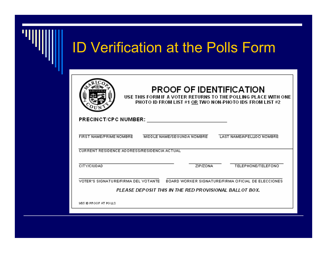| <b>ID Verification at the Polls Form</b> |                                                                                                                                                                  |  |  |  |
|------------------------------------------|------------------------------------------------------------------------------------------------------------------------------------------------------------------|--|--|--|
|                                          | <b>PROOF OF IDENTIFICATION</b><br>USE THIS FORM IF A VOTER RETURNS TO THE POLLING PLACE WITH ONE<br>PHOTO ID FROM LIST #1 OR TWO NON-PHOTO IDS FROM LIST #2      |  |  |  |
|                                          | PRECINCT/CPC NUMBER:<br>FIRST NAME/PRIME NOMBRE<br>MIDDLE NAME/SEGUNDA NOMBRE<br>LAST NAME/APELLIDO NOMBRE<br><b>CURRENT RESIDENCE ADDRESS/RESIDENCIA ACTUAL</b> |  |  |  |
|                                          | <b>CITY/CIUDAD</b><br><b>ZIP/ZONA</b><br>TELEPHONE/TELEFONO<br>VOTER'S SIGNATURE/FIRMA DEL VOTANTE BOARD WORKER SIGNATURE/FIRMA OFICIAL DE ELECCIONES            |  |  |  |
|                                          | PLEASE DEPOSIT THIS IN THE RED PROVISIONAL BALL OT BOX.<br>9/05 ID PROOF AT POLLS                                                                                |  |  |  |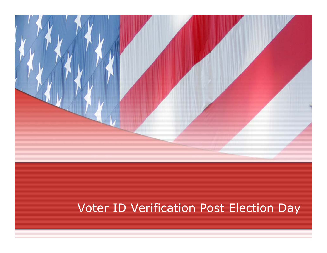

### Voter ID Verification Post Election Day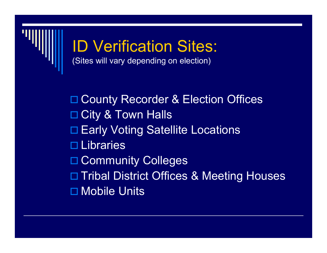

# ID Verification Sites:

(Sites will vary depending on election)

□ County Recorder & Election Offices □ City & Town Halls □ Early Voting Satellite Locations □ Libraries □ Community Colleges □ Tribal District Offices & Meeting Houses Mobile Units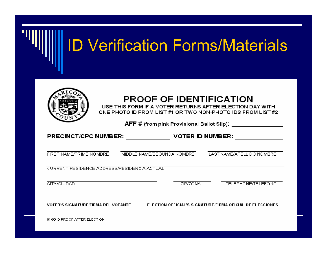